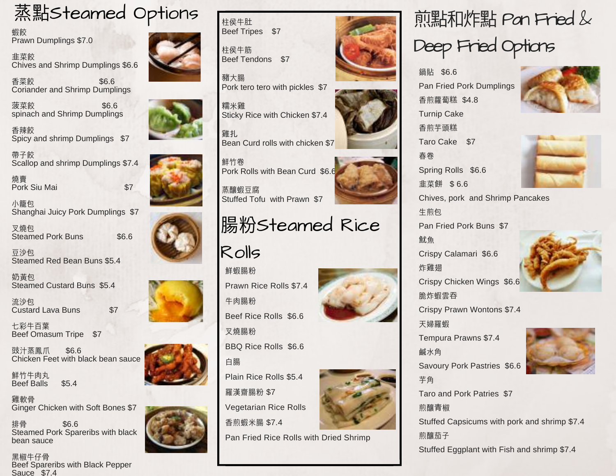

蝦餃 Prawn Dumplings \$7.0

韭菜餃 Chives and Shrimp Dumplings \$6.6

香菜餃 \$6.6 Coriander and Shrimp Dumplings

**菠菜餃 \$6.6** spinach and Shrimp Dumplings

⾹辣餃 Spicy and shrimp Dumplings \$7

帶孑餃 Scallop and shrimp Dumplings \$7.4

燒賣 Pork Siu Mai **\$7** 

小籠句. Shanghai Juicy Pork Dumplings \$7

叉燒包 Steamed Pork Buns \$6.6

⾖沙包 Steamed Red Bean Buns \$5.4

奶黃包 Steamed Custard Buns \$5.4

流沙包 Custard Lava Buns \$7

七彩牛百葉 Beef Omasum Tripe \$7

豉汁蒸鳳爪 \$6.6 Chicken Feet with black bean sauce

鮮竹牛肉丸 Beef Balls \$5.4

雞軟骨 Ginger Chicken with Soft Bones \$7

排骨 \$6.6 Steamed Pork Spareribs with black bean sauce

黑椒牛仔骨 **Beef Spareribs with Black Pepper** Sauce \$7.4



柱侯牛肚 Beef Tripes \$7

柱侯牛筋 Beef Tendons \$7

鮮竹卷

Rolls

鮮蝦腸粉

牛肉腸粉

叉燒腸粉

豬⼤腸 Pork tero tero with pickles \$7

糯米雞 Sticky Rice with Chicken \$7.4

雞扎, Bean Curd rolls with chicken \$7

Pork Rolls with Bean Curd \$6.6











Vegetarian Rice Rolls ⾹煎蝦⽶腸 \$7.4

Pan Fried Rice Rolls with Dried Shrimp













## 煎點和炸點 Pan Fried & Deep Fried Options

鍋貼 \$6.6 Pan Fried Pork Dumplings ⾹煎蘿蔔糕 \$4.8 Turnip Cake ⾹煎芋頭糕 Taro Cake \$7 春卷





Chives, pork and Shrimp Pancakes 生前句. Pan Fried Pork Buns \$7

魷魚 Crispy Calamari \$6.6 炸雞翅

Crispy Chicken Wings \$6.6

Crispy Prawn Wontons \$7.4

天婦羅蝦

脆炸蝦雲吞

Tempura Prawns \$7.4 融水角

Savoury Pork Pastries \$6.6



芋⾓ Taro and Pork Patries \$7 煎釀青椒 Stuffed Capsicums with pork and shrimp \$7.4 煎釀茄⼦ Stuffed Eggplant with Fish and shrimp \$7.4











Prawn Rice Rolls \$7.4

Beef Rice Rolls \$6.6







Spring Rolls \$6.6 韭菜餅 \$ 6.6